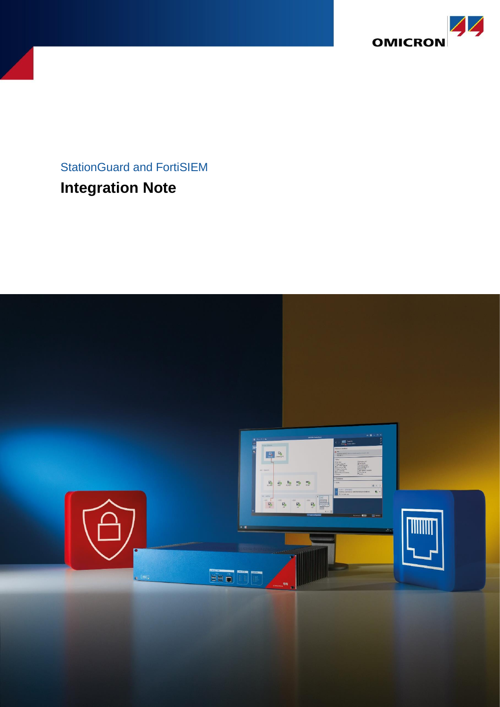

# StationGuard and FortiSIEM **Integration Note**

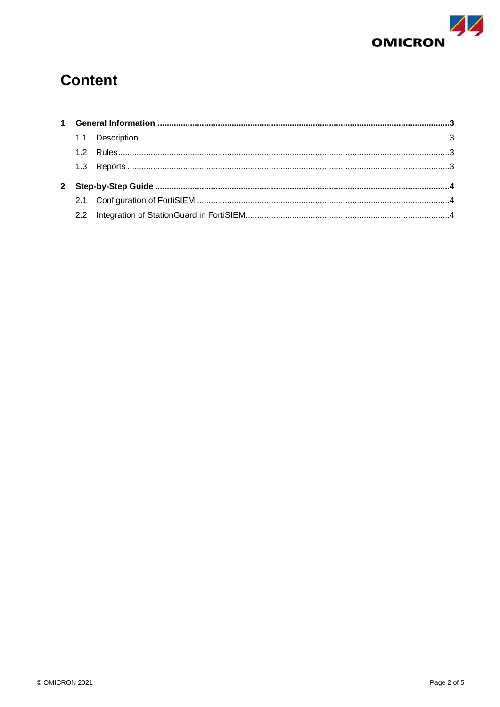

# **Content**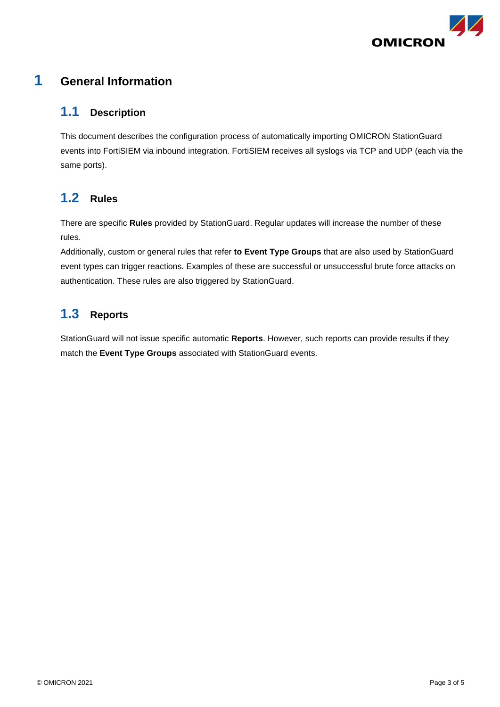

### <span id="page-2-0"></span>**1 General Information**

#### <span id="page-2-1"></span>**1.1 Description**

This document describes the configuration process of automatically importing OMICRON StationGuard events into FortiSIEM via inbound integration. FortiSIEM receives all syslogs via TCP and UDP (each via the same ports).

### <span id="page-2-2"></span>**1.2 Rules**

There are specific **Rules** provided by StationGuard. Regular updates will increase the number of these rules.

Additionally, custom or general rules that refer **to Event Type Groups** that are also used by StationGuard event types can trigger reactions. Examples of these are successful or unsuccessful brute force attacks on authentication. These rules are also triggered by StationGuard.

## <span id="page-2-3"></span>**1.3 Reports**

StationGuard will not issue specific automatic **Reports**. However, such reports can provide results if they match the **Event Type Groups** associated with StationGuard events.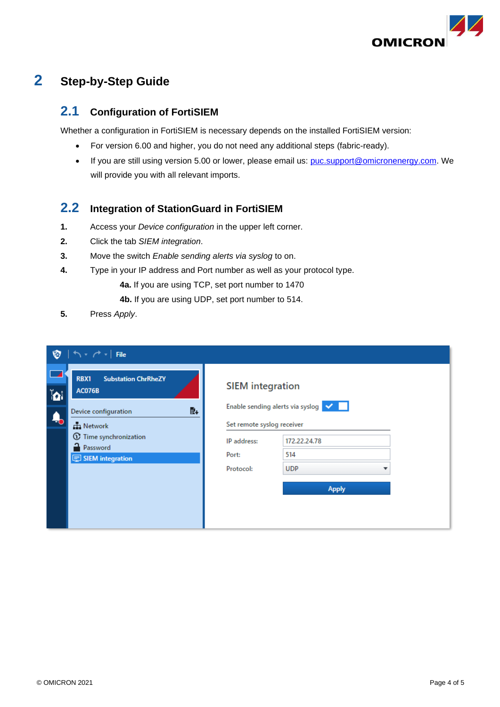

# <span id="page-3-0"></span>**2 Step-by-Step Guide**

#### <span id="page-3-1"></span>**2.1 Configuration of FortiSIEM**

Whether a configuration in FortiSIEM is necessary depends on the installed FortiSIEM version:

- For version 6.00 and higher, you do not need any additional steps (fabric-ready).
- If you are still using version 5.00 or lower, please email us: [puc.support@omicronenergy.com.](mailto:puc.support@omicronenergy.com) We will provide you with all relevant imports.

#### <span id="page-3-2"></span>**2.2 Integration of StationGuard in FortiSIEM**

- **1.** Access your *Device configuration* in the upper left corner.
- **2.** Click the tab *SIEM integration*.
- **3.** Move the switch *Enable sending alerts via syslog* to on.
- **4.** Type in your IP address and Port number as well as your protocol type.
	- **4a.** If you are using TCP, set port number to 1470
	- **4b.** If you are using UDP, set port number to 514.
- **5.** Press *Apply*.

| Ø                           | $\left  \uparrow \right.$ $\uparrow$ $\uparrow$ $\left $ File                                                                                                                              |                                                                                                                                                                       |              |  |  |  |
|-----------------------------|--------------------------------------------------------------------------------------------------------------------------------------------------------------------------------------------|-----------------------------------------------------------------------------------------------------------------------------------------------------------------------|--------------|--|--|--|
| $\mathbf{b}$<br>$\clubsuit$ | RBX1<br><b>Substation ChrRheZY</b><br><b>AC076B</b><br>歐<br>Device configuration<br><b>H</b> Network<br>$^\mathrm{\odot}$<br>Time synchronization<br>Password<br><b>D</b> SIEM integration | <b>SIEM</b> integration<br>Enable sending alerts via syslog V<br>Set remote syslog receiver<br>172.22.24.78<br>IP address:<br>514<br>Port:<br><b>UDP</b><br>Protocol: |              |  |  |  |
|                             |                                                                                                                                                                                            |                                                                                                                                                                       | <b>Apply</b> |  |  |  |